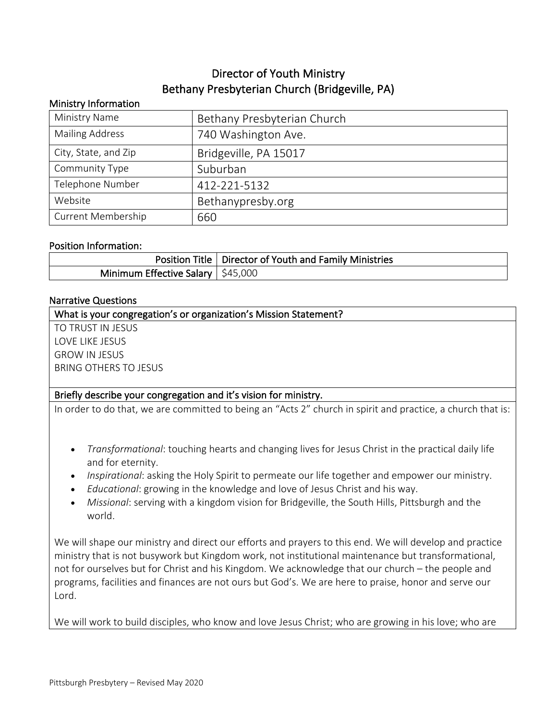# Director of Youth Ministry Bethany Presbyterian Church (Bridgeville, PA)

# Ministry Information Ministry Name **Bethany Presbyterian Church** Mailing Address 1740 Washington Ave. City, State, and Zip  $\vert$  Bridgeville, PA 15017 Community Type Suburban Telephone Number 1412-221-5132 Website | Bethanypresby.org Current Membership 1660

#### Position Information:

|                                                 | Position Title   Director of Youth and Family Ministries |
|-------------------------------------------------|----------------------------------------------------------|
| Minimum Effective Salary $\frac{1}{2}$ \$45,000 |                                                          |

#### Narrative Questions

What is your congregation's or organization's Mission Statement?

TO TRUST IN JESUS LOVE LIKE JESUS GROW IN JESUS BRING OTHERS TO JESUS

#### Briefly describe your congregation and it's vision for ministry.

In order to do that, we are committed to being an "Acts 2" church in spirit and practice, a church that is:

- *Transformational*: touching hearts and changing lives for Jesus Christ in the practical daily life and for eternity.
- *Inspirational*: asking the Holy Spirit to permeate our life together and empower our ministry.
- *Educational*: growing in the knowledge and love of Jesus Christ and his way.
- *Missional*: serving with a kingdom vision for Bridgeville, the South Hills, Pittsburgh and the world.

We will shape our ministry and direct our efforts and prayers to this end. We will develop and practice ministry that is not busywork but Kingdom work, not institutional maintenance but transformational, not for ourselves but for Christ and his Kingdom. We acknowledge that our church – the people and programs, facilities and finances are not ours but God's. We are here to praise, honor and serve our Lord.

We will work to build disciples, who know and love Jesus Christ; who are growing in his love; who are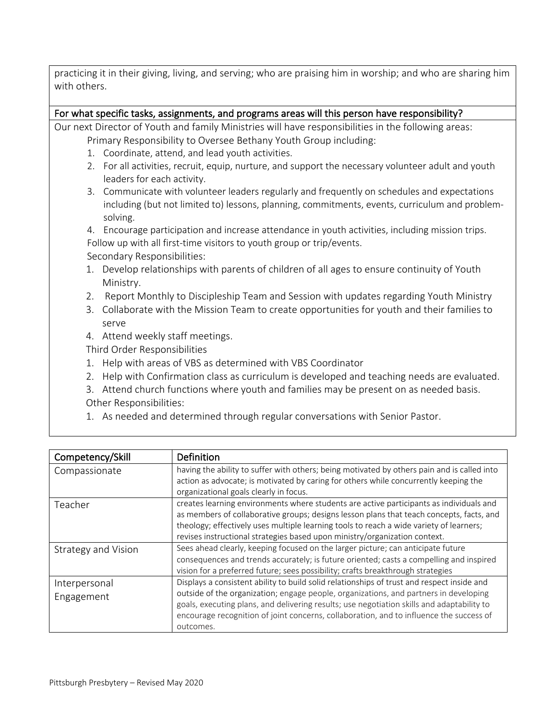practicing it in their giving, living, and serving; who are praising him in worship; and who are sharing him with others.

#### For what specific tasks, assignments, and programs areas will this person have responsibility?

Our next Director of Youth and family Ministries will have responsibilities in the following areas: Primary Responsibility to Oversee Bethany Youth Group including:

- 1. Coordinate, attend, and lead youth activities.
- 2. For all activities, recruit, equip, nurture, and support the necessary volunteer adult and youth leaders for each activity.
- 3. Communicate with volunteer leaders regularly and frequently on schedules and expectations including (but not limited to) lessons, planning, commitments, events, curriculum and problemsolving.

4. Encourage participation and increase attendance in youth activities, including mission trips. Follow up with all first-time visitors to youth group or trip/events. Secondary Responsibilities:

- 1. Develop relationships with parents of children of all ages to ensure continuity of Youth Ministry.
- 2. Report Monthly to Discipleship Team and Session with updates regarding Youth Ministry
- 3. Collaborate with the Mission Team to create opportunities for youth and their families to serve
- 4. Attend weekly staff meetings.

Third Order Responsibilities

- 1. Help with areas of VBS as determined with VBS Coordinator
- 2. Help with Confirmation class as curriculum is developed and teaching needs are evaluated.

3. Attend church functions where youth and families may be present on as needed basis. Other Responsibilities:

1. As needed and determined through regular conversations with Senior Pastor.

| Competency/Skill            | Definition                                                                                                                                                                                                                                                                                                                                                                                |
|-----------------------------|-------------------------------------------------------------------------------------------------------------------------------------------------------------------------------------------------------------------------------------------------------------------------------------------------------------------------------------------------------------------------------------------|
| Compassionate               | having the ability to suffer with others; being motivated by others pain and is called into<br>action as advocate; is motivated by caring for others while concurrently keeping the                                                                                                                                                                                                       |
|                             | organizational goals clearly in focus.                                                                                                                                                                                                                                                                                                                                                    |
| Teacher                     | creates learning environments where students are active participants as individuals and<br>as members of collaborative groups; designs lesson plans that teach concepts, facts, and<br>theology; effectively uses multiple learning tools to reach a wide variety of learners;<br>revises instructional strategies based upon ministry/organization context.                              |
| Strategy and Vision         | Sees ahead clearly, keeping focused on the larger picture; can anticipate future<br>consequences and trends accurately; is future oriented; casts a compelling and inspired<br>vision for a preferred future; sees possibility; crafts breakthrough strategies                                                                                                                            |
| Interpersonal<br>Engagement | Displays a consistent ability to build solid relationships of trust and respect inside and<br>outside of the organization; engage people, organizations, and partners in developing<br>goals, executing plans, and delivering results; use negotiation skills and adaptability to<br>encourage recognition of joint concerns, collaboration, and to influence the success of<br>outcomes. |